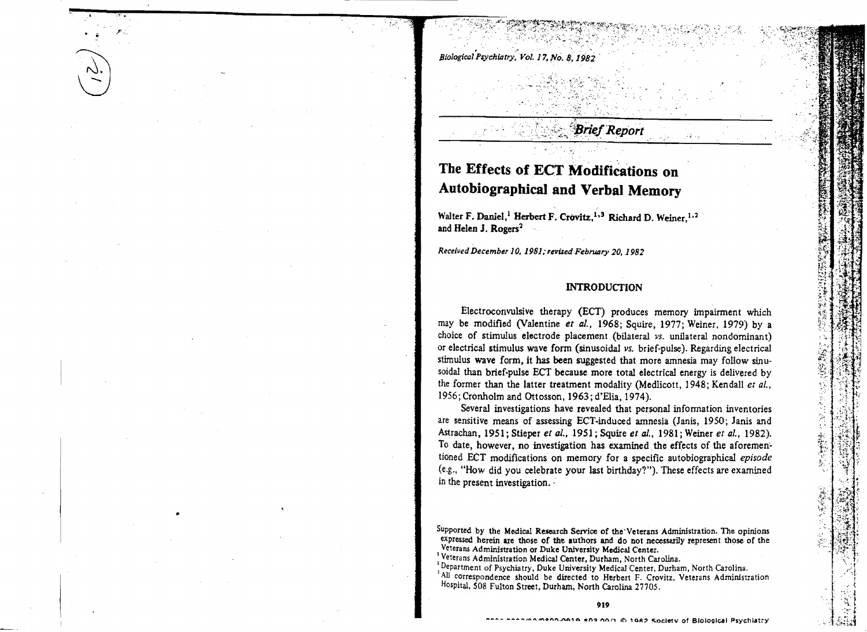, , . ..:' . '. Biological P~chiatrJ'. Vol. 17, No.8, *1982* 

## **Brief Report**

~"  $\cdot$  .

','

.'

# The Effects of ECT Modifications on Autobiographical and Verbal Memory

 $"$  .  $"$  $\rightarrow$ 

Walter F. Daniel,<sup>1</sup> Herbert F. Crovitz,<sup>1,3</sup> Richard D. Weiner,<sup>1,2</sup> and Helen J. Rogers<sup>2</sup>

*R.eceived December* 10, 1981;*,nued Feb1'Ul1ry* 20, 1982

#### INTRODUCTION

Electroconvulsive therapy (ECT) produces memory impairment which may be modified (Valentine *et al.*, 1968; Squire, 1977; Weiner, 1979) by a choice of stimulus electrode placement (bilateral vs. unilateral nondominant) or electrical stimulus wave form (sinusoidal *vs.* brief-pulse). Regarding electrical stimulus wave form, it has been suggested that more amnesia may follow sinusoidal than brief-pulse ECT because more total electrical energy is delivered by the former than the latter treatment modality (MedIicott, 1948; Kendall *et ai.,*  1956; Cronholm and Ottosson, 1963; d'Elia, 1974).

Several investigations have revealed that personal information inventories are sensitive means of assessing ECT-induced amnesia (Janis, 1950; Janis and Astrachan, 1951;Stieperetai., *1951;SquireetaJ.,* 1981; Weiner *et aI.,* 1982). To date, however, no investigation has examined the effects of the aforemen~ tioned ECT modifications on memory for a specific autobiographical *episode* (e.g., "How did you celebrate your last birthday?"). These effects are examined in the present investigation.

Supported by the Medical Research Service of the "Veterans Administration. The opinions expressed herein are those of the authors and do not necessarily represent those of the Veterans Administration or Duke University Medical Center.

<sup>:</sup> Veterans Administration Medical Center, Durham, North Carolina .

<sup>&</sup>lt;sup>2</sup> Department of Psychiatry, Duke University Medical Center, Durham, North Carolina.

<sup>&</sup>lt;sup>1</sup>All correspondence should be directed to Herbert F. Crovitz, Veterans Administration Hospital, 508 Fulton Street, Durham, North Carolina 27705.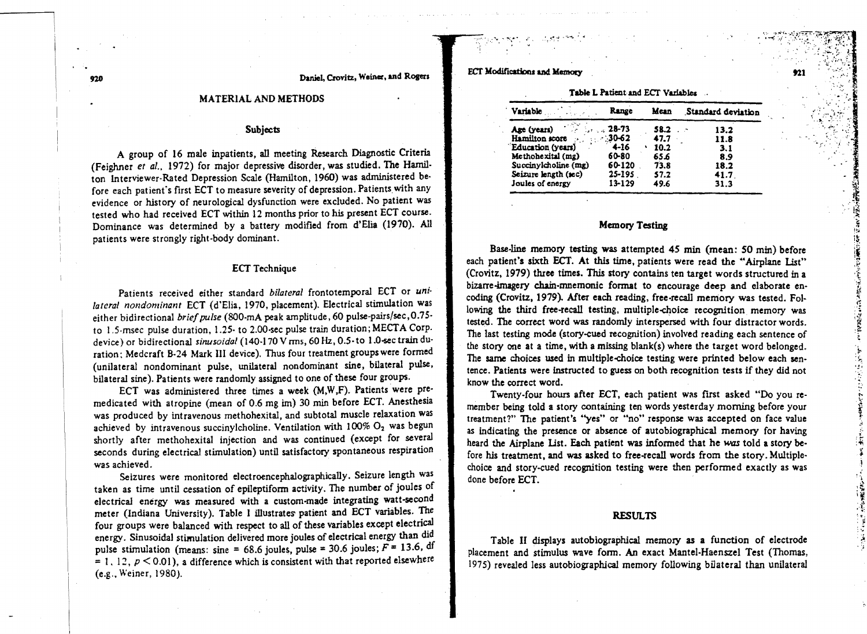no Daniel, Crovjtz., Weiner, and Rogers

#### MATERIAL AND METHODS

#### Subjects

A group of 16 male inpatients, all meeting Research Diagnostic Criteria (Feighner *et al.•* 1972) for major depressive disorder, was studied. The Hamilton Interviewer·Rated Depression Scale (Hamilton, 1960) was administered be· fore each patient's first ECT to measure severity of depression. Patients with any evidence or history of neurological dysfunction were excluded. No patient was tested who had received ECT within 12 months prior to his present ECT course. Dominance was determined by a battery modified from d'Elia (1970). All patients were strongly right-body dominant.

#### ECT Technique

Patients received either standard *bilateral* frontotemporal ECT or *unilateral nondominant* ECT (d'Elia, 1970, placement). Electrical stimulation was either bidirectional *briefpulse* (SOO·mA peak amplitude, 60 pulse-pairs/sec,0.7S· to I.S-msec pulse duration, 1.25· to 2.00-sec pulse train duration; MECTA Corp. device) or bidirectional sinusoidal (140-170 V rms, 60 Hz, 0.5-to 1.0-sec train duration; Medcraft 8-24 Mark III device). Thus four treatment groups were formed (unilateral nondominant pulse, unilateral non dominant sine, bilateral pulse, bilateral sine). Patients were randomly assigned to one of these four groups.

ECT was administered three times a week (M,W,F). Patients were premedicated with atropine (mean of 0.6 mg im) 30 min before ECT. Anesthesia was produced by intravenous methohexital, and subtotal muscle relaxation was achieved by intravenous succinylcholine. Ventilation with  $100\%$  O<sub>2</sub> was begun shortly after methohexital injection and was continued (except for several seconds during electrical stimulation) until satisfactory spontaneous respiration was achieved.

Seizures were monitored electroencephalographically. Seizure length was taken as time until cessation of epileptiform activity. The number of joules of electrical energy was measured with a custom-made integrating watt-second meter (Indiana University). Table I illustrates patient and ECT variables. The four groups were balanced with respect to all of these variables except electrical energy. Sinusoidal stimulation delivered more joules of electrical energy than did pulse stimulation (means: sine = 68.6 joules, pulse = 30.6 joules;  $F = 13.6$ , df = 1. 12,  $p < 0.01$ ), a difference which is consistent with that reported elsewhere (e.g., Weiner, 1980),

ECT Modifications and Memory 1921

~;. oo;-.J

| <b>Variable</b>      | Range    | Mean | Standard deviation |  |
|----------------------|----------|------|--------------------|--|
| Age (years)          | 28-73    | 58.2 | 13.2               |  |
| Hamilton score       | $-30-62$ | 47.7 | 11.8               |  |
| "Education (years)   | 4-16     | 10.2 | 3.1                |  |
| Methohexital (mg)    | 60-80    | 65.6 | 8.9                |  |
| Succinylcholine (mg) | 60-120   | 73.8 | 18.2               |  |
| Seizure length (sec) | 25-195   | 57.2 | 41.7               |  |
| Joules of energy     | 13-129   | 49.6 | 31.3               |  |

## Table L Patient and ECT Variables

<sup>~</sup>"!',.'" • .j.........r • .• -~ ,'"~: ••~ \' 1'.. ,:"T'"'\;.' ... ~ • ~~-.' "l,., .J'J-! 1.

#### Memory Testing

Base-line memory testing was attempted 45 min (mean: 50 min) before each patient's sixth ECT. At this time, patients were read the "Airplane List" (Crovitz, 1979) three times. This story contains ten target words structured in a bizarre-imagery chain-mnemonic format to encourage deep and elaborate encoding (Crovitz, 1979). After each reading, free-recall memory was tested. Following the third free-recall testing, multiple-choice recognition memory was tested. The correct word was randomly interspersed with four distractor words. The last testing mode (story-cued recognition) involved reading each sentence of the story one at a time, with a missing blank(s) where the target word belonged. The same choices used in multiple-choice testing were printed below each sentence. Patients were instructed to guess on both recognition tests if they did not know the correct word.

Twenty-four hours after ECT, each patient was first asked "Do you remember being told a story containing ten words yesterday morning before your treatment?" The patient's "yes" or "no" response was accepted on face value as indicating the presence or absence of autobiographical memory for having heard the Airplane List. Each patient was informed that he was told a story before his treatment, and was asked to free-recall words from the story. Multiplechoice and story-cued recognition testing were then performed exactly as was done before ECT.

# **RESULTS**

Table II displays autobiographical memory as a function of electrode placement and stimulus wave form. An exact Mantel-Haenszel Test (Thomas, 1975) revealed less autobiographical memory following bilateral than unilateral

.:' .':-' ..*:-r:,tJ* 

 $\mathcal{F} \subset \mathcal{F}$ 

.:' ~ i~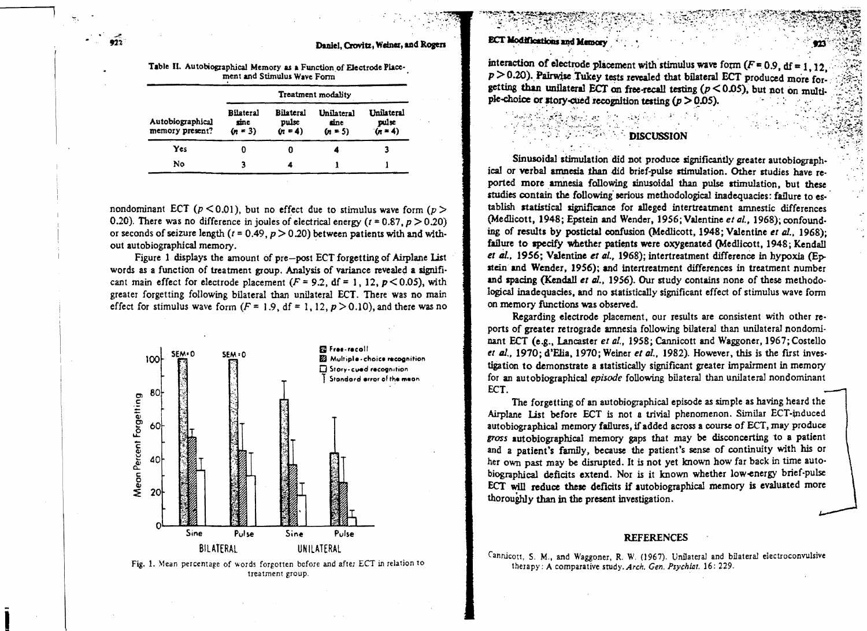#### **ECT Modifications and Memory**

a Shaffanishar

Daniel, Crovitz, Weiner, and Rogers

Table II. Autobiographical Memory as a Function of Electrode Placement and Stimulus Wave Form

|                                     | <b>Treatment</b> modality             |                                 |                                 |                                  |  |  |  |
|-------------------------------------|---------------------------------------|---------------------------------|---------------------------------|----------------------------------|--|--|--|
| Autobiographical<br>memory present? | <b>Bilateral</b><br>sine<br>$(n - 3)$ | Bilateral<br>pulse<br>$(n = 4)$ | Unilateral<br>sine<br>$(n = 5)$ | Unilateral<br>pulse<br>$(n = 4)$ |  |  |  |
| Yes                                 | 0                                     |                                 |                                 |                                  |  |  |  |
| No                                  |                                       |                                 |                                 |                                  |  |  |  |

nondominant ECT ( $p < 0.01$ ), but no effect due to stimulus wave form ( $p >$ 0.20). There was no difference in joules of electrical energy ( $t = 0.87$ ,  $p > 0.20$ ) or seconds of seizure length ( $t = 0.49$ ,  $p > 0.20$ ) between patients with and without autobiographical memory.

Figure 1 displays the amount of pre-post ECT forgetting of Airplane List words as a function of treatment group. Analysis of variance revealed a significant main effect for electrode placement ( $F = 9.2$ , df = 1, 12,  $p < 0.05$ ), with greater forgetting following bilateral than unilateral ECT. There was no main effect for stimulus wave form  $(F = 1.9, df = 1, 12, p > 0.10)$ , and there was no



Fig. 1. Mean percentage of words forgotten before and after ECT in relation to treatment group.

interaction of electrode placement with stimulus wave form  $(F = 0.9, df = 1.12)$ .  $p > 0.20$ ). Pairwise Tukey tests revealed that bilateral ECT produced more forgetting than unilateral ECT on free-recall testing  $(p < 0.05)$ , but not on multiple-choice or story-cued recognition testing  $(p > 0.05)$ .

#### **DISCUSSION**

Sinusoidal stimulation did not produce significantly greater autobiographical or verbal amnesia than did brief-pulse stimulation. Other studies have reported more amnesia following sinusoidal than pulse stimulation, but these studies contain the following serious methodological inadequacies: failure to establish statistical significance for alleged intertreatment amnestic differences (Medlicott, 1948; Epstein and Wender, 1956; Valentine et al., 1968); confounding of results by postictal confusion (Medlicott, 1948; Valentine et al., 1968); failure to specify whether patients were oxygenated (Medlicott, 1948; Kendall et al., 1956; Valentine et al., 1968); intertreatment difference in hypoxia (Epstein and Wender, 1956); and intertreatment differences in treatment number and spacing (Kendall et al., 1956). Our study contains none of these methodological inadequacies, and no statistically significant effect of stimulus wave form on memory functions was observed.

Regarding electrode placement, our results are consistent with other reports of greater retrograde amnesia following bilateral than unilateral nondominant ECT (e.g., Lancaster et al., 1958; Cannicott and Waggoner, 1967; Costello et al., 1970; d'Elia, 1970; Weiner et al., 1982). However, this is the first investigation to demonstrate a statistically significant greater impairment in memory for an autobiographical episode following bilateral than unilateral nondominant ECT.

The forgetting of an autobiographical episode as simple as having heard the Airplane List before ECT is not a trivial phenomenon. Similar ECT-induced autobiographical memory failures, if added across a course of ECT, may produce gross autobiographical memory gaps that may be disconcerting to a patient and a patient's family, because the patient's sense of continuity with his or her own past may be disrupted. It is not yet known how far back in time autobiographical deficits extend. Nor is it known whether low-energy brief-pulse ECT will reduce these deficits if autobiographical memory is evaluated more thoroughly than in the present investigation.

#### **REFERENCES**

Cannicott, S. M., and Waggoner, R. W. (1967). Unilateral and bilateral electroconvulsive therapy: A comparative study. Arch. Gen. Psychiat. 16: 229.